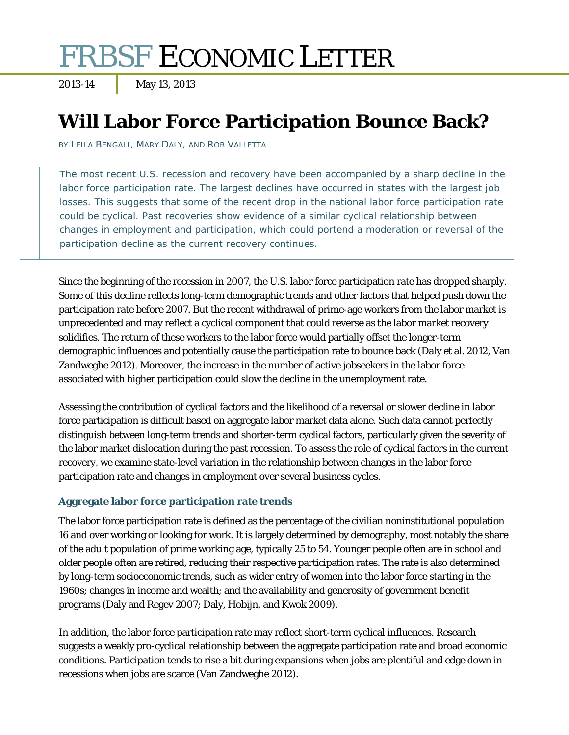# FRBSF ECONOMIC LETTER

2013-14 May 13, 2013

## **Will Labor Force Participation Bounce Back?**

BY LEILA BENGALI, MARY DALY, AND ROB VALLETTA

The most recent U.S. recession and recovery have been accompanied by a sharp decline in the labor force participation rate. The largest declines have occurred in states with the largest job losses. This suggests that some of the recent drop in the national labor force participation rate could be cyclical. Past recoveries show evidence of a similar cyclical relationship between changes in employment and participation, which could portend a moderation or reversal of the participation decline as the current recovery continues.

Since the beginning of the recession in 2007, the U.S. labor force participation rate has dropped sharply. Some of this decline reflects long-term demographic trends and other factors that helped push down the participation rate before 2007. But the recent withdrawal of prime-age workers from the labor market is unprecedented and may reflect a cyclical component that could reverse as the labor market recovery solidifies. The return of these workers to the labor force would partially offset the longer-term demographic influences and potentially cause the participation rate to bounce back (Daly et al. 2012, Van Zandweghe 2012). Moreover, the increase in the number of active jobseekers in the labor force associated with higher participation could slow the decline in the unemployment rate.

Assessing the contribution of cyclical factors and the likelihood of a reversal or slower decline in labor force participation is difficult based on aggregate labor market data alone. Such data cannot perfectly distinguish between long-term trends and shorter-term cyclical factors, particularly given the severity of the labor market dislocation during the past recession. To assess the role of cyclical factors in the current recovery, we examine state-level variation in the relationship between changes in the labor force participation rate and changes in employment over several business cycles.

### **Aggregate labor force participation rate trends**

The labor force participation rate is defined as the percentage of the civilian noninstitutional population 16 and over working or looking for work. It is largely determined by demography, most notably the share of the adult population of prime working age, typically 25 to 54. Younger people often are in school and older people often are retired, reducing their respective participation rates. The rate is also determined by long-term socioeconomic trends, such as wider entry of women into the labor force starting in the 1960s; changes in income and wealth; and the availability and generosity of government benefit programs (Daly and Regev 2007; Daly, Hobijn, and Kwok 2009).

In addition, the labor force participation rate may reflect short-term cyclical influences. Research suggests a weakly pro-cyclical relationship between the aggregate participation rate and broad economic conditions. Participation tends to rise a bit during expansions when jobs are plentiful and edge down in recessions when jobs are scarce (Van Zandweghe 2012).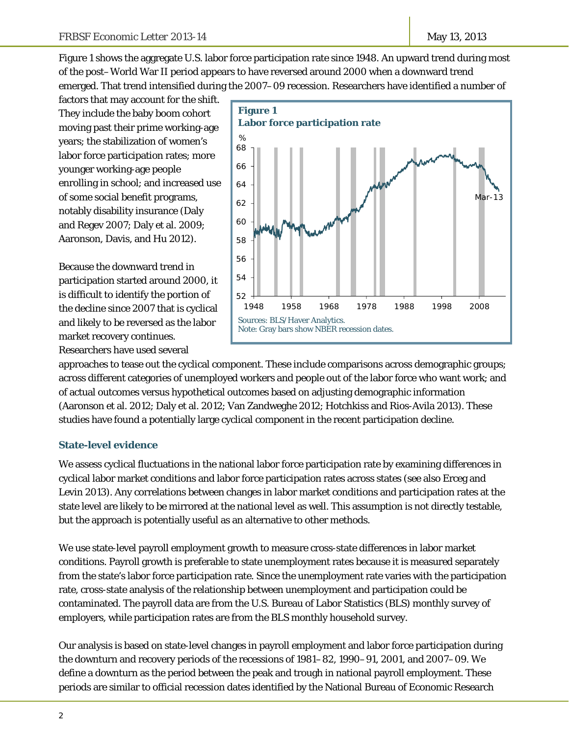Figure 1 shows the aggregate U.S. labor force participation rate since 1948. An upward trend during most of the post–World War II period appears to have reversed around 2000 when a downward trend emerged. That trend intensified during the 2007–09 recession. Researchers have identified a number of

factors that may account for the shift. They include the baby boom cohort moving past their prime working-age years; the stabilization of women's labor force participation rates; more younger working-age people enrolling in school; and increased use of some social benefit programs, notably disability insurance (Daly and Regev 2007; Daly et al. 2009; Aaronson, Davis, and Hu 2012).

Because the downward trend in participation started around 2000, it is difficult to identify the portion of the decline since 2007 that is cyclical and likely to be reversed as the labor market recovery continues. Researchers have used several



approaches to tease out the cyclical component. These include comparisons across demographic groups; across different categories of unemployed workers and people out of the labor force who want work; and of actual outcomes versus hypothetical outcomes based on adjusting demographic information (Aaronson et al. 2012; Daly et al. 2012; Van Zandweghe 2012; Hotchkiss and Rios-Avila 2013). These studies have found a potentially large cyclical component in the recent participation decline.

#### **State-level evidence**

We assess cyclical fluctuations in the national labor force participation rate by examining differences in cyclical labor market conditions and labor force participation rates across states (see also Erceg and Levin 2013). Any correlations between changes in labor market conditions and participation rates at the state level are likely to be mirrored at the national level as well. This assumption is not directly testable, but the approach is potentially useful as an alternative to other methods.

We use state-level payroll employment growth to measure cross-state differences in labor market conditions. Payroll growth is preferable to state unemployment rates because it is measured separately from the state's labor force participation rate. Since the unemployment rate varies with the participation rate, cross-state analysis of the relationship between unemployment and participation could be contaminated. The payroll data are from the U.S. Bureau of Labor Statistics (BLS) monthly survey of employers, while participation rates are from the BLS monthly household survey.

Our analysis is based on state-level changes in payroll employment and labor force participation during the downturn and recovery periods of the recessions of 1981–82, 1990–91, 2001, and 2007–09. We define a downturn as the period between the peak and trough in national payroll employment. These periods are similar to official recession dates identified by the National Bureau of Economic Research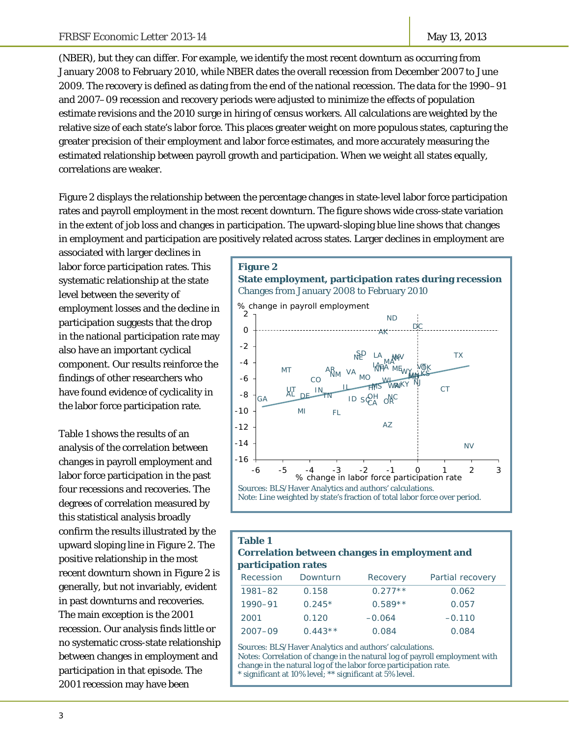(NBER), but they can differ. For example, we identify the most recent downturn as occurring from January 2008 to February 2010, while NBER dates the overall recession from December 2007 to June 2009. The recovery is defined as dating from the end of the national recession. The data for the 1990–91 and 2007–09 recession and recovery periods were adjusted to minimize the effects of population estimate revisions and the 2010 surge in hiring of census workers. All calculations are weighted by the relative size of each state's labor force. This places greater weight on more populous states, capturing the greater precision of their employment and labor force estimates, and more accurately measuring the estimated relationship between payroll growth and participation. When we weight all states equally, correlations are weaker.

Figure 2 displays the relationship between the percentage changes in state-level labor force participation rates and payroll employment in the most recent downturn. The figure shows wide cross-state variation in the extent of job loss and changes in participation. The upward-sloping blue line shows that changes in employment and participation are positively related across states. Larger declines in employment are

associated with larger declines in labor force participation rates. This systematic relationship at the state level between the severity of employment losses and the decline in participation suggests that the drop in the national participation rate may also have an important cyclical component. Our results reinforce the findings of other researchers who have found evidence of cyclicality in the labor force participation rate.

Table 1 shows the results of an analysis of the correlation between changes in payroll employment and labor force participation in the past four recessions and recoveries. The degrees of correlation measured by this statistical analysis broadly confirm the results illustrated by the upward sloping line in Figure 2. The positive relationship in the most recent downturn shown in Figure 2 is generally, but not invariably, evident in past downturns and recoveries. The main exception is the 2001 recession. Our analysis finds little or no systematic cross-state relationship between changes in employment and participation in that episode. The 2001 recession may have been



#### **Table 1 Correlation between changes in employment and participation rates**

| Recession   | Downturn  | Recovery  | Partial recovery |
|-------------|-----------|-----------|------------------|
| 1981-82     | 0.158     | $0.277**$ | 0.062            |
| 1990-91     | $0.245*$  | $0.589**$ | 0.057            |
| 2001        | 0.120     | $-0.064$  | $-0.110$         |
| $2007 - 09$ | $0.443**$ | 0.084     | 0.084            |

Sources: BLS/Haver Analytics and authors' calculations. Notes: Correlation of change in the natural log of payroll employment with change in the natural log of the labor force participation rate. significant at 10% level; \*\* significant at 5% level.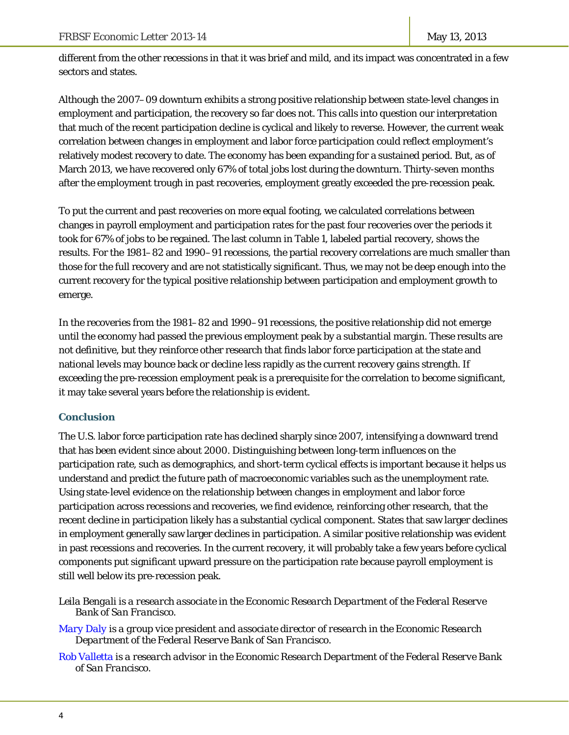different from the other recessions in that it was brief and mild, and its impact was concentrated in a few sectors and states.

Although the 2007–09 downturn exhibits a strong positive relationship between state-level changes in employment and participation, the recovery so far does not. This calls into question our interpretation that much of the recent participation decline is cyclical and likely to reverse. However, the current weak correlation between changes in employment and labor force participation could reflect employment's relatively modest recovery to date. The economy has been expanding for a sustained period. But, as of March 2013, we have recovered only 67% of total jobs lost during the downturn. Thirty-seven months after the employment trough in past recoveries, employment greatly exceeded the pre-recession peak.

To put the current and past recoveries on more equal footing, we calculated correlations between changes in payroll employment and participation rates for the past four recoveries over the periods it took for 67% of jobs to be regained. The last column in Table 1, labeled partial recovery, shows the results. For the 1981–82 and 1990–91 recessions, the partial recovery correlations are much smaller than those for the full recovery and are not statistically significant. Thus, we may not be deep enough into the current recovery for the typical positive relationship between participation and employment growth to emerge.

In the recoveries from the 1981–82 and 1990–91 recessions, the positive relationship did not emerge until the economy had passed the previous employment peak by a substantial margin. These results are not definitive, but they reinforce other research that finds labor force participation at the state and national levels may bounce back or decline less rapidly as the current recovery gains strength. If exceeding the pre-recession employment peak is a prerequisite for the correlation to become significant, it may take several years before the relationship is evident.

#### **Conclusion**

The U.S. labor force participation rate has declined sharply since 2007, intensifying a downward trend that has been evident since about 2000. Distinguishing between long-term influences on the participation rate, such as demographics, and short-term cyclical effects is important because it helps us understand and predict the future path of macroeconomic variables such as the unemployment rate. Using state-level evidence on the relationship between changes in employment and labor force participation across recessions and recoveries, we find evidence, reinforcing other research, that the recent decline in participation likely has a substantial cyclical component. States that saw larger declines in employment generally saw larger declines in participation. A similar positive relationship was evident in past recessions and recoveries. In the current recovery, it will probably take a few years before cyclical components put significant upward pressure on the participation rate because payroll employment is still well below its pre-recession peak.

*Leila Bengali is a research associate in the Economic Research Department of the Federal Reserve Bank of San Francisco.* 

*[Mary Daly](http://www.frbsf.org/economics/economists/staff.php?mdaly) is a group vice president and associate director of research in the Economic Research Department of the Federal Reserve Bank of San Francisco.* 

*[Rob Valletta is](http://www.frbsf.org/economics/economists/staff.php?rvalletta) a research advisor in the Economic Research Department of the Federal Reserve Bank of San Francisco.*